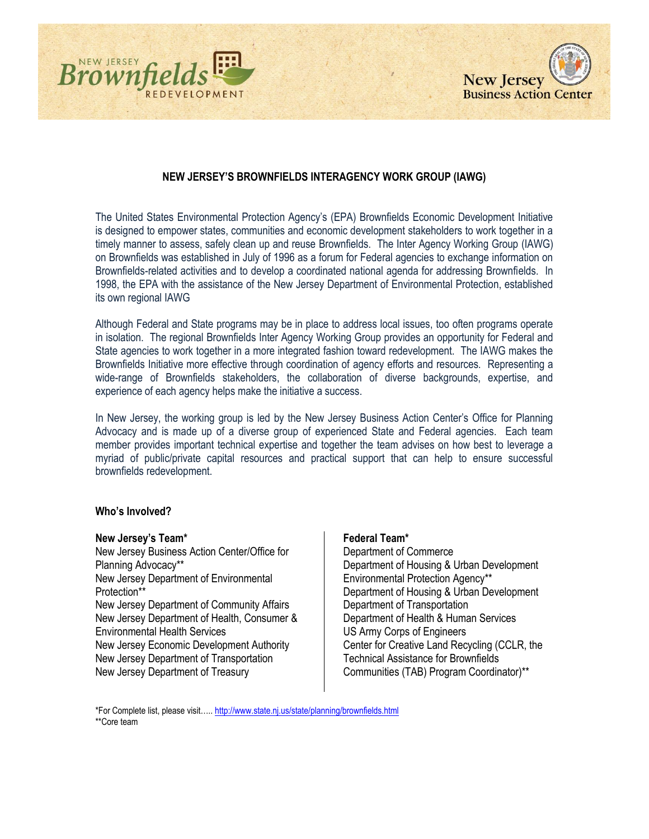



# **NEW JERSEY'S BROWNFIELDS INTERAGENCY WORK GROUP (IAWG)**

The United States Environmental Protection Agency's (EPA) Brownfields Economic Development Initiative is designed to empower states, communities and economic development stakeholders to work together in a timely manner to assess, safely clean up and reuse Brownfields. The Inter Agency Working Group (IAWG) on Brownfields was established in July of 1996 as a forum for Federal agencies to exchange information on Brownfields-related activities and to develop a coordinated national agenda for addressing Brownfields. In 1998, the EPA with the assistance of the New Jersey Department of Environmental Protection, established its own regional IAWG

Although Federal and State programs may be in place to address local issues, too often programs operate in isolation. The regional Brownfields Inter Agency Working Group provides an opportunity for Federal and State agencies to work together in a more integrated fashion toward redevelopment. The IAWG makes the Brownfields Initiative more effective through coordination of agency efforts and resources. Representing a wide-range of Brownfields stakeholders, the collaboration of diverse backgrounds, expertise, and experience of each agency helps make the initiative a success.

In New Jersey, the working group is led by the New Jersey Business Action Center's Office for Planning Advocacy and is made up of a diverse group of experienced State and Federal agencies. Each team member provides important technical expertise and together the team advises on how best to leverage a myriad of public/private capital resources and practical support that can help to ensure successful brownfields redevelopment.

### **Who's Involved?**

### **New Jersey's Team\***

New Jersey Business Action Center/Office for Planning Advocacy\*\* New Jersey Department of Environmental Protection\*\* New Jersey Department of Community Affairs New Jersey Department of Health, Consumer & Environmental Health Services New Jersey Economic Development Authority New Jersey Department of Transportation New Jersey Department of Treasury

## **Federal Team\***

Department of Commerce Department of Housing & Urban Development Environmental Protection Agency\*\* Department of Housing & Urban Development Department of Transportation Department of Health & Human Services US Army Corps of Engineers Center for Creative Land Recycling (CCLR, the Technical Assistance for Brownfields Communities (TAB) Program Coordinator)\*\*

\*For Complete list, please visit….. <http://www.state.nj.us/state/planning/brownfields.html> \*\*Core team